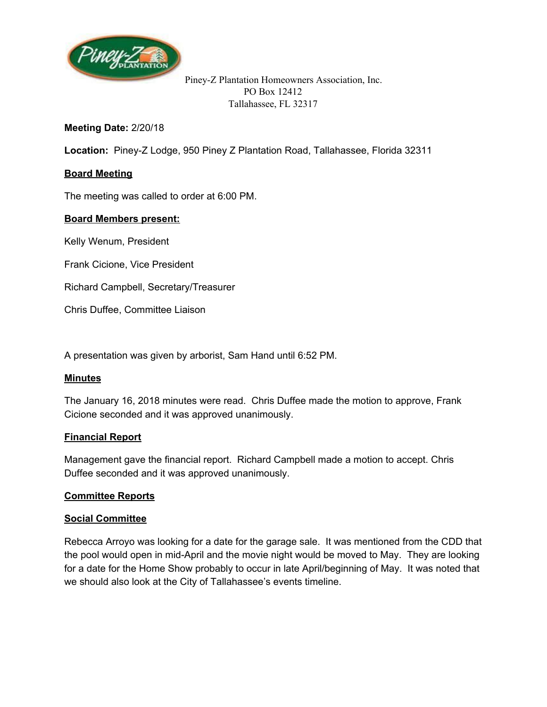

### **Meeting Date:**2/20/18

**Location:** Piney-Z Lodge, 950 Piney Z Plantation Road, Tallahassee, Florida 32311

## **Board Meeting**

The meeting was called to order at 6:00 PM.

### **Board Members present:**

Kelly Wenum, President

Frank Cicione, Vice President

Richard Campbell, Secretary/Treasurer

Chris Duffee, Committee Liaison

A presentation was given by arborist, Sam Hand until 6:52 PM.

### **Minutes**

The January 16, 2018 minutes were read. Chris Duffee made the motion to approve, Frank Cicione seconded and it was approved unanimously.

### **Financial Report**

Management gave the financial report. Richard Campbell made a motion to accept. Chris Duffee seconded and it was approved unanimously.

### **Committee Reports**

### **Social Committee**

Rebecca Arroyo was looking for a date for the garage sale. It was mentioned from the CDD that the pool would open in mid-April and the movie night would be moved to May. They are looking for a date for the Home Show probably to occur in late April/beginning of May. It was noted that we should also look at the City of Tallahassee's events timeline.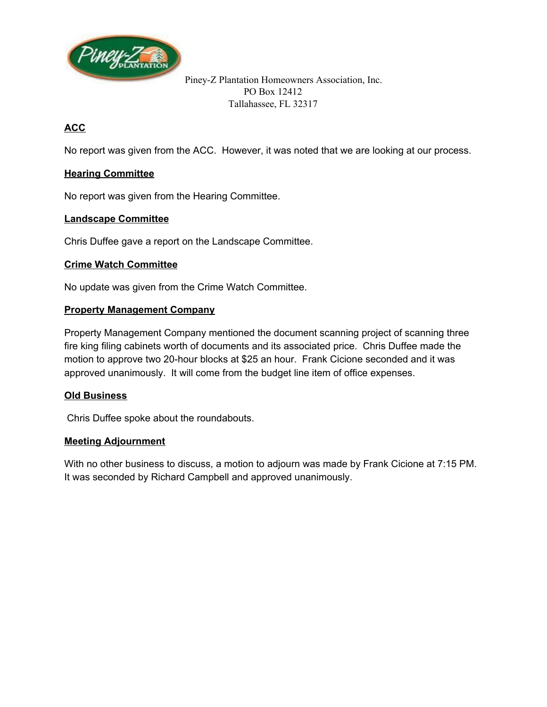

# **ACC**

No report was given from the ACC. However, it was noted that we are looking at our process.

### **Hearing Committee**

No report was given from the Hearing Committee.

### **Landscape Committee**

Chris Duffee gave a report on the Landscape Committee.

### **Crime Watch Committee**

No update was given from the Crime Watch Committee.

### **Property Management Company**

Property Management Company mentioned the document scanning project of scanning three fire king filing cabinets worth of documents and its associated price. Chris Duffee made the motion to approve two 20-hour blocks at \$25 an hour. Frank Cicione seconded and it was approved unanimously. It will come from the budget line item of office expenses.

### **Old Business**

Chris Duffee spoke about the roundabouts.

### **Meeting Adjournment**

With no other business to discuss, a motion to adjourn was made by Frank Cicione at 7:15 PM. It was seconded by Richard Campbell and approved unanimously.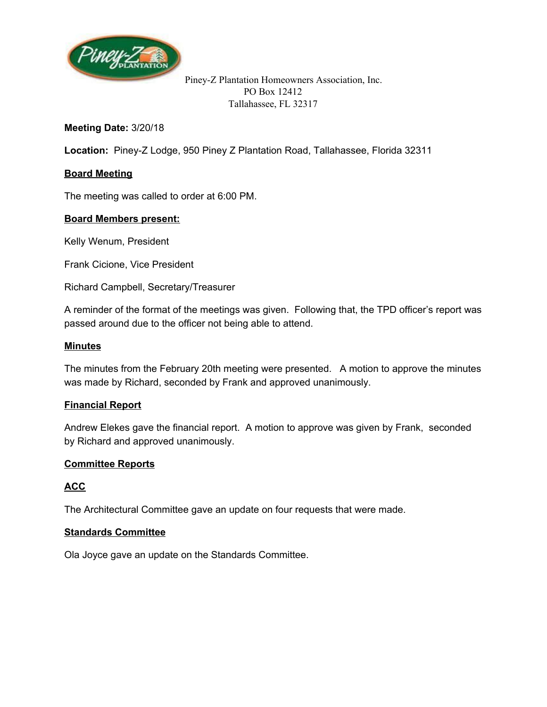

### **Meeting Date:** 3/20/18

**Location:** Piney-Z Lodge, 950 Piney Z Plantation Road, Tallahassee, Florida 32311

## **Board Meeting**

The meeting was called to order at 6:00 PM.

### **Board Members present:**

Kelly Wenum, President

Frank Cicione, Vice President

Richard Campbell, Secretary/Treasurer

A reminder of the format of the meetings was given. Following that, the TPD officer's report was passed around due to the officer not being able to attend.

#### **Minutes**

The minutes from the February 20th meeting were presented. A motion to approve the minutes was made by Richard, seconded by Frank and approved unanimously.

### **Financial Report**

Andrew Elekes gave the financial report. A motion to approve was given by Frank, seconded by Richard and approved unanimously.

### **Committee Reports**

### **ACC**

The Architectural Committee gave an update on four requests that were made.

#### **Standards Committee**

Ola Joyce gave an update on the Standards Committee.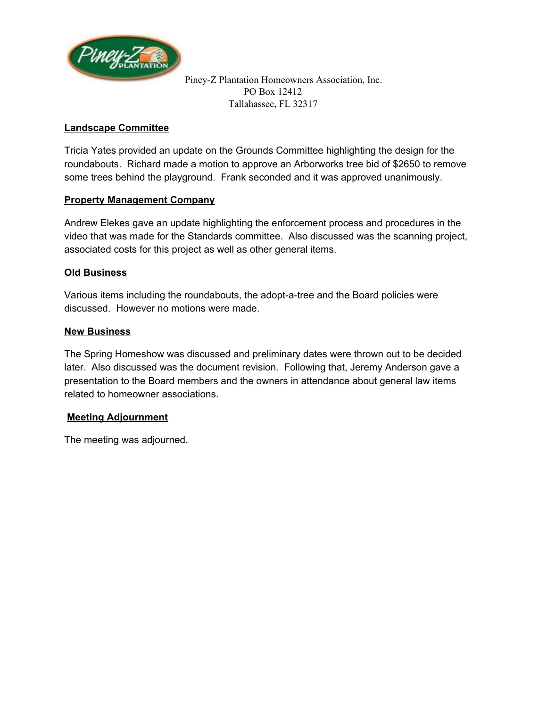

### **Landscape Committee**

Tricia Yates provided an update on the Grounds Committee highlighting the design for the roundabouts. Richard made a motion to approve an Arborworks tree bid of \$2650 to remove some trees behind the playground. Frank seconded and it was approved unanimously.

### **Property Management Company**

Andrew Elekes gave an update highlighting the enforcement process and procedures in the video that was made for the Standards committee. Also discussed was the scanning project, associated costs for this project as well as other general items.

### **Old Business**

Various items including the roundabouts, the adopt-a-tree and the Board policies were discussed. However no motions were made.

### **New Business**

The Spring Homeshow was discussed and preliminary dates were thrown out to be decided later. Also discussed was the document revision. Following that, Jeremy Anderson gave a presentation to the Board members and the owners in attendance about general law items related to homeowner associations.

### **Meeting Adjournment**

The meeting was adjourned.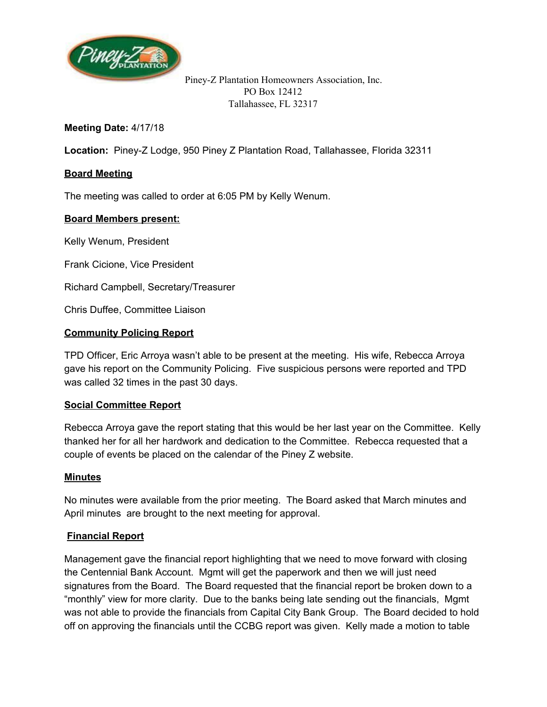

## **Meeting Date:** 4/17/18

**Location:** Piney-Z Lodge, 950 Piney Z Plantation Road, Tallahassee, Florida 32311

### **Board Meeting**

The meeting was called to order at 6:05 PM by Kelly Wenum.

### **Board Members present:**

Kelly Wenum, President

Frank Cicione, Vice President

Richard Campbell, Secretary/Treasurer

Chris Duffee, Committee Liaison

#### **Community Policing Report**

TPD Officer, Eric Arroya wasn't able to be present at the meeting. His wife, Rebecca Arroya gave his report on the Community Policing. Five suspicious persons were reported and TPD was called 32 times in the past 30 days.

### **Social Committee Report**

Rebecca Arroya gave the report stating that this would be her last year on the Committee. Kelly thanked her for all her hardwork and dedication to the Committee. Rebecca requested that a couple of events be placed on the calendar of the Piney Z website.

### **Minutes**

No minutes were available from the prior meeting. The Board asked that March minutes and April minutes are brought to the next meeting for approval.

### **Financial Report**

Management gave the financial report highlighting that we need to move forward with closing the Centennial Bank Account. Mgmt will get the paperwork and then we will just need signatures from the Board. The Board requested that the financial report be broken down to a "monthly" view for more clarity. Due to the banks being late sending out the financials, Mgmt was not able to provide the financials from Capital City Bank Group. The Board decided to hold off on approving the financials until the CCBG report was given. Kelly made a motion to table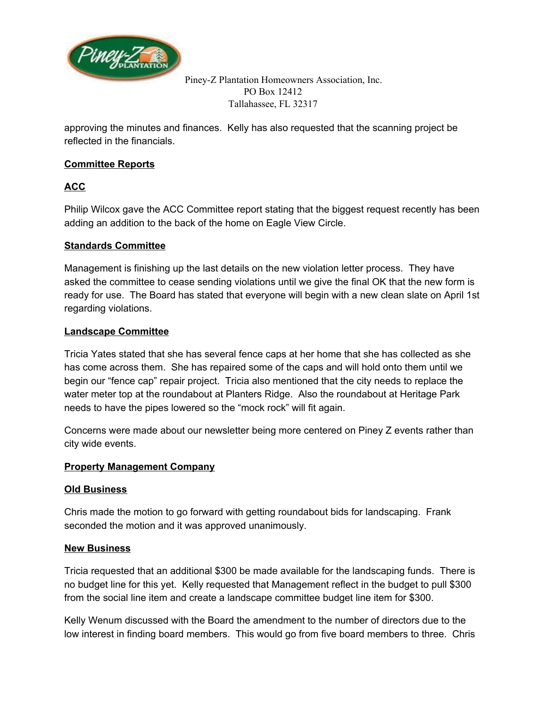

approving the minutes and finances. Kelly has also requested that the scanning project be reflected in the financials.

# **Committee Reports**

# **ACC**

Philip Wilcox gave the ACC Committee report stating that the biggest request recently has been adding an addition to the back of the home on Eagle View Circle.

### **Standards Committee**

Management is finishing up the last details on the new violation letter process. They have asked the committee to cease sending violations until we give the final OK that the new form is ready for use. The Board has stated that everyone will begin with a new clean slate on April 1st regarding violations.

### **Landscape Committee**

Tricia Yates stated that she has several fence caps at her home that she has collected as she has come across them. She has repaired some of the caps and will hold onto them until we begin our "fence cap" repair project. Tricia also mentioned that the city needs to replace the water meter top at the roundabout at Planters Ridge. Also the roundabout at Heritage Park needs to have the pipes lowered so the "mock rock" will fit again.

Concerns were made about our newsletter being more centered on Piney Z events rather than city wide events.

### **Property Management Company**

### **Old Business**

Chris made the motion to go forward with getting roundabout bids for landscaping. Frank seconded the motion and it was approved unanimously.

### **New Business**

Tricia requested that an additional \$300 be made available for the landscaping funds. There is no budget line for this yet. Kelly requested that Management reflect in the budget to pull \$300 from the social line item and create a landscape committee budget line item for \$300.

Kelly Wenum discussed with the Board the amendment to the number of directors due to the low interest in finding board members. This would go from five board members to three. Chris